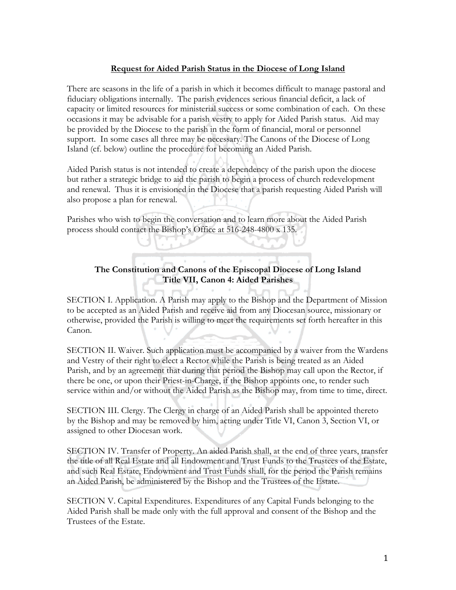## **Request for Aided Parish Status in the Diocese of Long Island**

There are seasons in the life of a parish in which it becomes difficult to manage pastoral and fiduciary obligations internally. The parish evidences serious financial deficit, a lack of capacity or limited resources for ministerial success or some combination of each. On these occasions it may be advisable for a parish vestry to apply for Aided Parish status. Aid may be provided by the Diocese to the parish in the form of financial, moral or personnel support. In some cases all three may be necessary. The Canons of the Diocese of Long Island (cf. below) outline the procedure for becoming an Aided Parish.

Aided Parish status is not intended to create a dependency of the parish upon the diocese but rather a strategic bridge to aid the parish to begin a process of church redevelopment and renewal. Thus it is envisioned in the Diocese that a parish requesting Aided Parish will also propose a plan for renewal.

Parishes who wish to begin the conversation and to learn more about the Aided Parish process should contact the Bishop's Office at 516-248-4800 x 135.

## **The Constitution and Canons of the Episcopal Diocese of Long Island Title VII, Canon 4: Aided Parishes**

SECTION I. Application. A Parish may apply to the Bishop and the Department of Mission to be accepted as an Aided Parish and receive aid from any Diocesan source, missionary or otherwise, provided the Parish is willing to meet the requirements set forth hereafter in this Canon.

SECTION II. Waiver. Such application must be accompanied by a waiver from the Wardens and Vestry of their right to elect a Rector while the Parish is being treated as an Aided Parish, and by an agreement that during that period the Bishop may call upon the Rector, if there be one, or upon their Priest-in-Charge, if the Bishop appoints one, to render such service within and/or without the Aided Parish as the Bishop may, from time to time, direct.

SECTION III. Clergy. The Clergy in charge of an Aided Parish shall be appointed thereto by the Bishop and may be removed by him, acting under Title VI, Canon 3, Section VI, or assigned to other Diocesan work.

SECTION IV. Transfer of Property. An aided Parish shall, at the end of three years, transfer the title of all Real Estate and all Endowment and Trust Funds to the Trustees of the Estate, and such Real Estate, Endowment and Trust Funds shall, for the period the Parish remains an Aided Parish, be administered by the Bishop and the Trustees of the Estate.

SECTION V. Capital Expenditures. Expenditures of any Capital Funds belonging to the Aided Parish shall be made only with the full approval and consent of the Bishop and the Trustees of the Estate.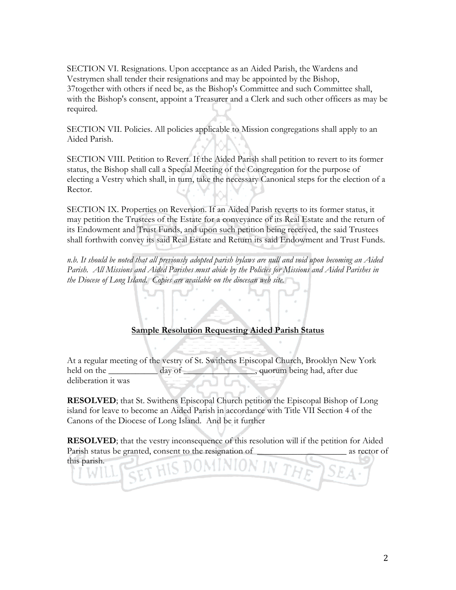SECTION VI. Resignations. Upon acceptance as an Aided Parish, the Wardens and Vestrymen shall tender their resignations and may be appointed by the Bishop, 37together with others if need be, as the Bishop's Committee and such Committee shall, with the Bishop's consent, appoint a Treasurer and a Clerk and such other officers as may be required.

SECTION VII. Policies. All policies applicable to Mission congregations shall apply to an Aided Parish.

SECTION VIII. Petition to Revert. If the Aided Parish shall petition to revert to its former status, the Bishop shall call a Special Meeting of the Congregation for the purpose of electing a Vestry which shall, in turn, take the necessary Canonical steps for the election of a Rector.

SECTION IX. Properties on Reversion. If an Aided Parish reverts to its former status, it may petition the Trustees of the Estate for a conveyance of its Real Estate and the return of its Endowment and Trust Funds, and upon such petition being received, the said Trustees shall forthwith convey its said Real Estate and Return its said Endowment and Trust Funds.

*n.b. It should be noted that all previously adopted parish bylaws are null and void upon becoming an Aided Parish. All Missions and Aided Parishes must abide by the Policies for Missions and Aided Parishes in the Diocese of Long Island. Copies are available on the diocesan web site.* 

# **Sample Resolution Requesting Aided Parish Status**

At a regular meeting of the vestry of St. Swithens Episcopal Church, Brooklyn New York held on the \_\_\_\_\_\_\_\_\_\_\_ day of \_\_\_\_\_\_\_\_\_\_\_, quorum being had, after due deliberation it was

**RESOLVED**; that St. Swithens Episcopal Church petition the Episcopal Bishop of Long island for leave to become an Aided Parish in accordance with Title VII Section 4 of the Canons of the Diocese of Long Island. And be it further

**RESOLVED**; that the vestry inconsequence of this resolution will if the petition for Aided Parish status be granted, consent to the resignation of \_\_\_\_\_\_\_\_\_\_\_\_\_\_\_\_\_\_\_\_\_\_\_ as rector of this parish.